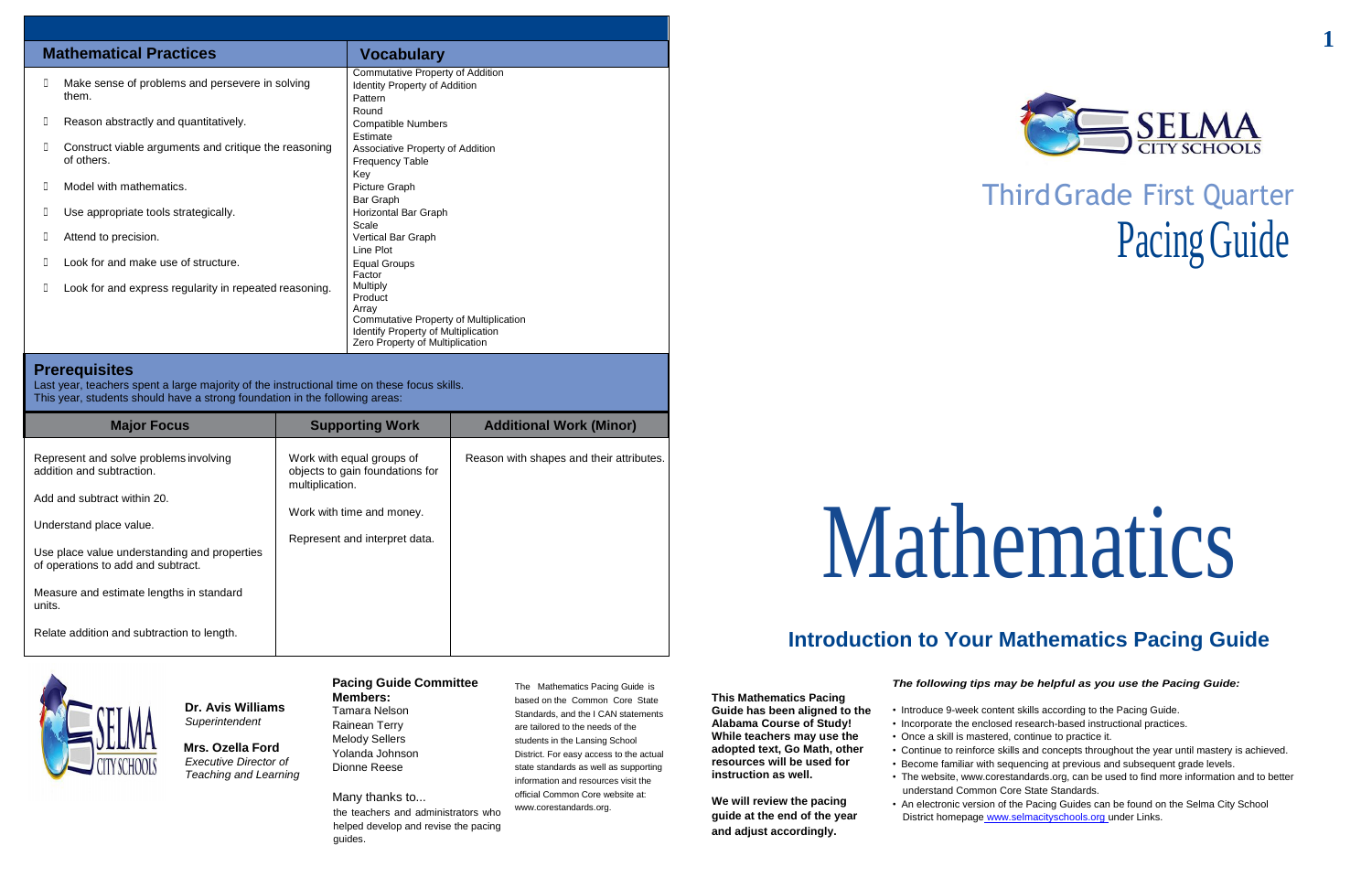# ThirdGrade First Quarter Pacing Guide

# Mathematics

# **Introduction to Your Mathematics Pacing Guide**

## **Dr. Avis Williams** *Superintendent*

**Mrs. Ozella Ford** *Executive Director of Teaching and Learning*

#### **Pacing Guide Committee Members:**

Tamara Nelson Rainean Terry Melody Sellers Yolanda Johnson Dionne Reese

Many thanks to...

the teachers and administrators who helped develop and revise the pacing guides.

- Introduce 9-week content skills according to the Pacing Guide.
- Incorporate the enclosed research-based instructional practices.
- Once a skill is mastered, continue to practice it.
- Continue to reinforce skills and concepts throughout the year until mastery is achieved.
- Become familiar with sequencing at previous and subsequent grade levels.
- The website, [www.corestandards.org,](http://www.corestandards.org/) can be used to find more information and to better understand Common Core State Standards.
- An electronic version of the Pacing Guides can be found on the Selma City School District homepage www.selmacityschools.org under Links.



The Mathematics Pacing Guide is based on the Common Core State Standards, and the I CAN statements are tailored to the needs of the students in the Lansing School District. For easy access to the actual state standards as well as supporting information and resources visit the official Common Core website at: [www.corestandards.org.](http://www.corestandards.org/)

**This Mathematics Pacing Guide has been aligned to the Alabama Course of Study! While teachers may use the adopted text, Go Math, other resources will be used for instruction as well.**

**We will review the pacing guide at the end of the year and adjust accordingly.**

### *The following tips may be helpful as you use the Pacing Guide:*

|    | <b>Mathematical Practices</b>                                       | <b>Vocabulary</b>                                                                                                                                |
|----|---------------------------------------------------------------------|--------------------------------------------------------------------------------------------------------------------------------------------------|
| D. | Make sense of problems and persevere in solving<br>them.            | Commutative Property of Addition<br><b>Identity Property of Addition</b><br>Pattern<br>Round                                                     |
| Ш  | Reason abstractly and quantitatively.                               | <b>Compatible Numbers</b><br>Estimate                                                                                                            |
| O. | Construct viable arguments and critique the reasoning<br>of others. | Associative Property of Addition<br><b>Frequency Table</b><br>Key                                                                                |
|    | Model with mathematics.                                             | Picture Graph<br>Bar Graph                                                                                                                       |
| O. | Use appropriate tools strategically.                                | Horizontal Bar Graph<br>Scale                                                                                                                    |
| Ш  | Attend to precision.                                                | Vertical Bar Graph<br>Line Plot                                                                                                                  |
|    | Look for and make use of structure.                                 | <b>Equal Groups</b><br>Factor                                                                                                                    |
| Ш  | Look for and express regularity in repeated reasoning.              | Multiply<br>Product<br>Array<br>Commutative Property of Multiplication<br>Identify Property of Multiplication<br>Zero Property of Multiplication |

### **Prerequisites**

Last year, teachers spent a large majority of the instructional time on these focus skills. This year, students should have a strong foundation in the following areas:

| <b>Major Focus</b>                                                                 | <b>Supporting Work</b>                                                          | <b>Additional Work (Minor)</b>           |
|------------------------------------------------------------------------------------|---------------------------------------------------------------------------------|------------------------------------------|
| Represent and solve problems involving<br>addition and subtraction.                | Work with equal groups of<br>objects to gain foundations for<br>multiplication. | Reason with shapes and their attributes. |
| Add and subtract within 20.                                                        |                                                                                 |                                          |
| Understand place value.                                                            | Work with time and money.                                                       |                                          |
|                                                                                    | Represent and interpret data.                                                   |                                          |
| Use place value understanding and properties<br>of operations to add and subtract. |                                                                                 |                                          |
| Measure and estimate lengths in standard<br>units.                                 |                                                                                 |                                          |
| Relate addition and subtraction to length.                                         |                                                                                 |                                          |

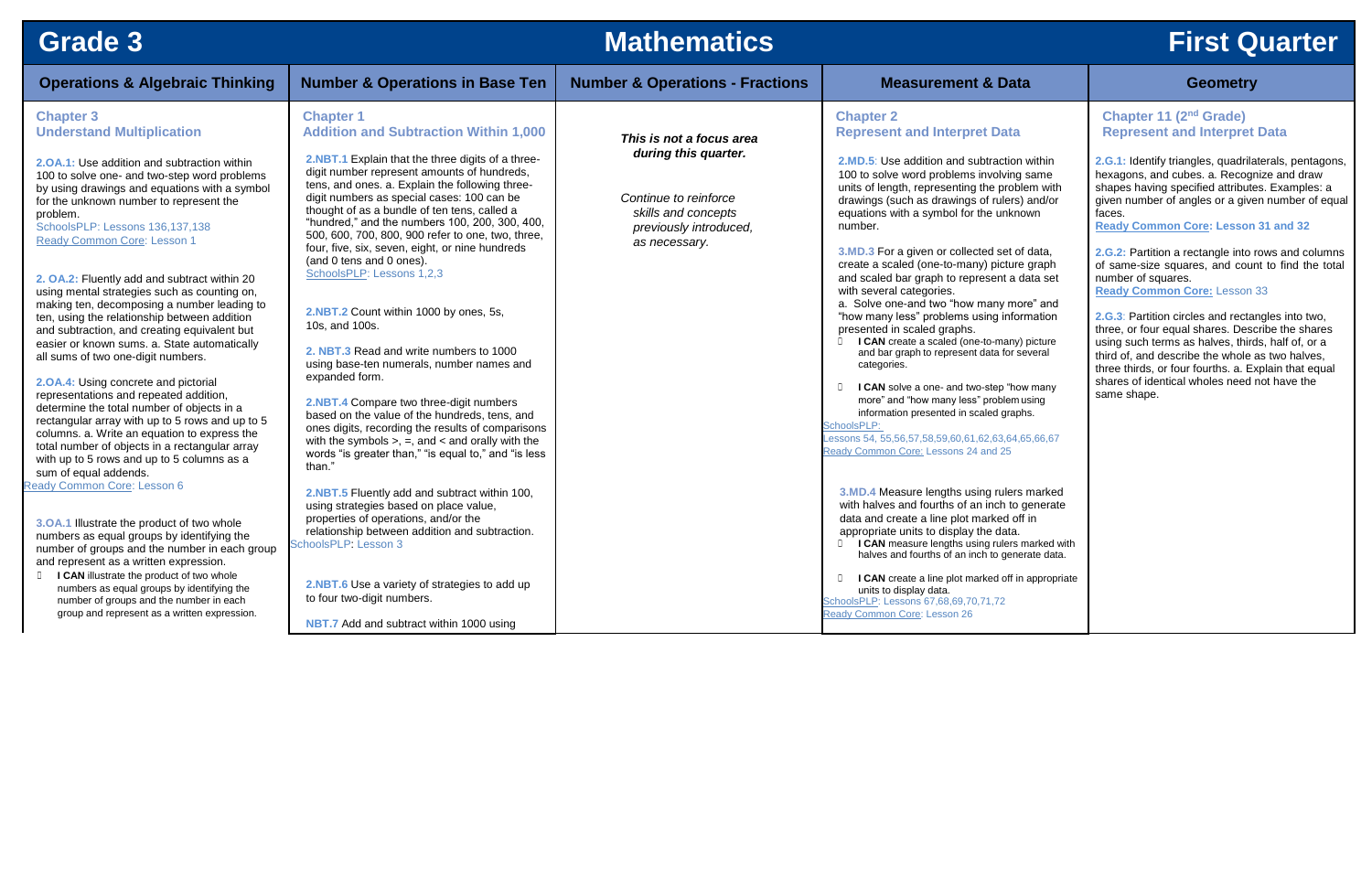| <b>Grade 3</b>                                                                                                                                                                                                                                                                                                                                                                                                                                                                                                                                                                                                                                                                                                                                                                                                                                                                                                                                                                                                                                                                                                                                                                                                                                                                                                                                                                                                                                          |                                                                                                                                                                                                                                                                                                                                                                                                                                                                                                                                                                                                                                                                                                                                                                                                                                                                                                                                                                                                                                                                                                                                                                                                                                                                                                                                      | <b>Mathematics</b>                                                                                                                          |                                                                                                                                                                                                                                                                                                                                                                                                                                                                                                                                                                                                                                                                                                                                                                                                                                                                                                                                                                                                                                                                                                                                                                                                                                                                                                                                                                                                                                                           | <b>First Q</b>                                                                                                                                                                                                                                                                                                                                                                                                                                                                                                                                                                                                                                        |
|---------------------------------------------------------------------------------------------------------------------------------------------------------------------------------------------------------------------------------------------------------------------------------------------------------------------------------------------------------------------------------------------------------------------------------------------------------------------------------------------------------------------------------------------------------------------------------------------------------------------------------------------------------------------------------------------------------------------------------------------------------------------------------------------------------------------------------------------------------------------------------------------------------------------------------------------------------------------------------------------------------------------------------------------------------------------------------------------------------------------------------------------------------------------------------------------------------------------------------------------------------------------------------------------------------------------------------------------------------------------------------------------------------------------------------------------------------|--------------------------------------------------------------------------------------------------------------------------------------------------------------------------------------------------------------------------------------------------------------------------------------------------------------------------------------------------------------------------------------------------------------------------------------------------------------------------------------------------------------------------------------------------------------------------------------------------------------------------------------------------------------------------------------------------------------------------------------------------------------------------------------------------------------------------------------------------------------------------------------------------------------------------------------------------------------------------------------------------------------------------------------------------------------------------------------------------------------------------------------------------------------------------------------------------------------------------------------------------------------------------------------------------------------------------------------|---------------------------------------------------------------------------------------------------------------------------------------------|-----------------------------------------------------------------------------------------------------------------------------------------------------------------------------------------------------------------------------------------------------------------------------------------------------------------------------------------------------------------------------------------------------------------------------------------------------------------------------------------------------------------------------------------------------------------------------------------------------------------------------------------------------------------------------------------------------------------------------------------------------------------------------------------------------------------------------------------------------------------------------------------------------------------------------------------------------------------------------------------------------------------------------------------------------------------------------------------------------------------------------------------------------------------------------------------------------------------------------------------------------------------------------------------------------------------------------------------------------------------------------------------------------------------------------------------------------------|-------------------------------------------------------------------------------------------------------------------------------------------------------------------------------------------------------------------------------------------------------------------------------------------------------------------------------------------------------------------------------------------------------------------------------------------------------------------------------------------------------------------------------------------------------------------------------------------------------------------------------------------------------|
| <b>Operations &amp; Algebraic Thinking</b>                                                                                                                                                                                                                                                                                                                                                                                                                                                                                                                                                                                                                                                                                                                                                                                                                                                                                                                                                                                                                                                                                                                                                                                                                                                                                                                                                                                                              | <b>Number &amp; Operations in Base Ten</b>                                                                                                                                                                                                                                                                                                                                                                                                                                                                                                                                                                                                                                                                                                                                                                                                                                                                                                                                                                                                                                                                                                                                                                                                                                                                                           | <b>Number &amp; Operations - Fractions</b>                                                                                                  | <b>Measurement &amp; Data</b>                                                                                                                                                                                                                                                                                                                                                                                                                                                                                                                                                                                                                                                                                                                                                                                                                                                                                                                                                                                                                                                                                                                                                                                                                                                                                                                                                                                                                             | <b>Geometry</b>                                                                                                                                                                                                                                                                                                                                                                                                                                                                                                                                                                                                                                       |
| <b>Chapter 3</b><br><b>Understand Multiplication</b><br>2.0A.1: Use addition and subtraction within<br>100 to solve one- and two-step word problems<br>by using drawings and equations with a symbol<br>for the unknown number to represent the<br>problem.<br>SchoolsPLP: Lessons 136,137,138<br>Ready Common Core: Lesson 1<br>2. OA.2: Fluently add and subtract within 20<br>using mental strategies such as counting on,<br>making ten, decomposing a number leading to<br>ten, using the relationship between addition<br>and subtraction, and creating equivalent but<br>easier or known sums. a. State automatically<br>all sums of two one-digit numbers.<br>2.0A.4: Using concrete and pictorial<br>representations and repeated addition,<br>determine the total number of objects in a<br>rectangular array with up to 5 rows and up to 5<br>columns. a. Write an equation to express the<br>total number of objects in a rectangular array<br>with up to 5 rows and up to 5 columns as a<br>sum of equal addends.<br><b>Ready Common Core: Lesson 6</b><br>3.OA.1 Illustrate the product of two whole<br>numbers as equal groups by identifying the<br>number of groups and the number in each group<br>and represent as a written expression.<br><b>ICAN</b> illustrate the product of two whole<br>numbers as equal groups by identifying the<br>number of groups and the number in each<br>group and represent as a written expression. | <b>Chapter 1</b><br><b>Addition and Subtraction Within 1,000</b><br>2.NBT.1 Explain that the three digits of a three-<br>digit number represent amounts of hundreds,<br>tens, and ones. a. Explain the following three-<br>digit numbers as special cases: 100 can be<br>thought of as a bundle of ten tens, called a<br>"hundred," and the numbers 100, 200, 300, 400,<br>500, 600, 700, 800, 900 refer to one, two, three,<br>four, five, six, seven, eight, or nine hundreds<br>(and 0 tens and 0 ones).<br>SchoolsPLP: Lessons 1,2,3<br>2.NBT.2 Count within 1000 by ones, 5s,<br>10s, and 100s.<br>2. NBT.3 Read and write numbers to 1000<br>using base-ten numerals, number names and<br>expanded form.<br>2.NBT.4 Compare two three-digit numbers<br>based on the value of the hundreds, tens, and<br>ones digits, recording the results of comparisons<br>with the symbols $>$ , $=$ , and $<$ and orally with the<br>words "is greater than," "is equal to," and "is less<br>than.<br>2.NBT.5 Fluently add and subtract within 100,<br>using strategies based on place value,<br>properties of operations, and/or the<br>relationship between addition and subtraction.<br>SchoolsPLP: Lesson 3<br>2.NBT.6 Use a variety of strategies to add up<br>to four two-digit numbers.<br>NBT.7 Add and subtract within 1000 using | This is not a focus area<br>during this quarter.<br>Continue to reinforce<br>skills and concepts<br>previously introduced,<br>as necessary. | <b>Chapter 2</b><br><b>Represent and Interpret Data</b><br><b>2.MD.5:</b> Use addition and subtraction within<br>100 to solve word problems involving same<br>units of length, representing the problem with<br>drawings (such as drawings of rulers) and/or<br>equations with a symbol for the unknown<br>number.<br>3.MD.3 For a given or collected set of data,<br>create a scaled (one-to-many) picture graph<br>and scaled bar graph to represent a data set<br>with several categories.<br>a. Solve one-and two "how many more" and<br>"how many less" problems using information<br>presented in scaled graphs.<br>I CAN create a scaled (one-to-many) picture<br>and bar graph to represent data for several<br>categories.<br>I CAN solve a one- and two-step "how many<br>more" and "how many less" problem using<br>information presented in scaled graphs.<br>SchoolsPLP:<br>Lessons 54, 55,56,57,58,59,60,61,62,63,64,65,66,67<br>Ready Common Core: Lessons 24 and 25<br>3.MD.4 Measure lengths using rulers marked<br>with halves and fourths of an inch to generate<br>data and create a line plot marked off in<br>appropriate units to display the data.<br><b>I CAN</b> measure lengths using rulers marked with<br>halves and fourths of an inch to generate data.<br>I CAN create a line plot marked off in appropriate<br>$\Box$<br>units to display data.<br>SchoolsPLP: Lessons 67,68,69,70,71,72<br>Ready Common Core: Lesson 26 | <b>Chapter 11 (2nd Grade)</b><br><b>Represent and Interpret</b><br>2.G.1: Identify triangles, quadrila<br>hexagons, and cubes. a. Recogr<br>shapes having specified attribute<br>given number of angles or a give<br>faces.<br><b>Ready Common Core: Lesson</b><br>2.G.2: Partition a rectangle into r<br>of same-size squares, and cour<br>number of squares.<br><b>Ready Common Core: Lesson</b><br>2.G.3: Partition circles and rectar<br>three, or four equal shares. Desc<br>using such terms as halves, third<br>third of, and describe the whole a<br>three thirds, or four fourths. a. Ex<br>shares of identical wholes need i<br>same shape. |

# **First Quarter**

| <b>Data</b>                                                                                     | <b>Geometry</b>                                                                                                                                                                                                                                                     |
|-------------------------------------------------------------------------------------------------|---------------------------------------------------------------------------------------------------------------------------------------------------------------------------------------------------------------------------------------------------------------------|
| <b>Data</b>                                                                                     | Chapter 11 (2 <sup>nd</sup> Grade)<br><b>Represent and Interpret Data</b>                                                                                                                                                                                           |
| action within<br>olving same<br>problem with<br>rulers) and/or<br>unknown                       | 2.G.1: Identify triangles, quadrilaterals, pentagons,<br>hexagons, and cubes. a. Recognize and draw<br>shapes having specified attributes. Examples: a<br>given number of angles or a given number of equal<br>faces.<br><b>Ready Common Core: Lesson 31 and 32</b> |
| set of data,<br>picture graph<br>ent a data set                                                 | 2.G.2: Partition a rectangle into rows and columns<br>of same-size squares, and count to find the total<br>number of squares.<br><b>Ready Common Core: Lesson 33</b>                                                                                                |
| ny more" and<br>g information                                                                   | 2.G.3: Partition circles and rectangles into two,<br>three, or four equal shares. Describe the shares                                                                                                                                                               |
| many) picture<br>a for several                                                                  | using such terms as halves, thirds, half of, or a<br>third of, and describe the whole as two halves,<br>three thirds, or four fourths. a. Explain that equal                                                                                                        |
| ep "how many<br>oblem using<br>d graphs.                                                        | shares of identical wholes need not have the<br>same shape.                                                                                                                                                                                                         |
| 63,64,65,66,67<br>125                                                                           |                                                                                                                                                                                                                                                                     |
| rulers marked<br>ch to generate<br>ed off in<br>data.<br>rulers marked with<br>o generate data. |                                                                                                                                                                                                                                                                     |
| d off in appropriate                                                                            |                                                                                                                                                                                                                                                                     |
| 72                                                                                              |                                                                                                                                                                                                                                                                     |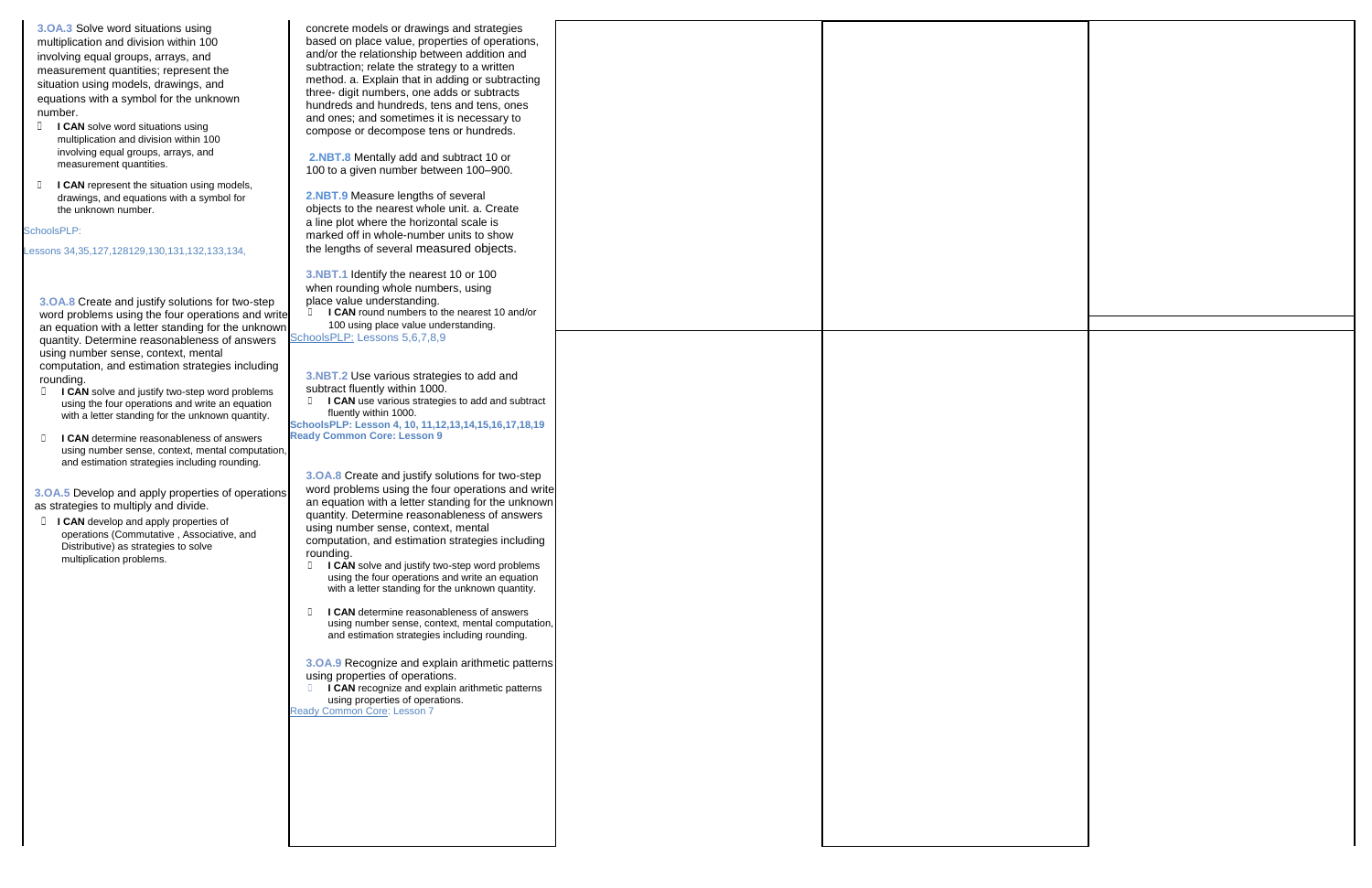**3.OA.3** Solve word situations using multiplication and division within 100 involving equal groups, arrays, and measurement quantities; represent the situation using models, drawings, and equations with a symbol for the unknown number.

- **□ <b>I CAN** solve word situations using multiplication and division within 100 involving equal groups, arrays, and measurement quantities.
- **□ I CAN** represent the situation using models, drawings, and equations with a symbol for the unknown number.

#### SchoolsPLP:

Lessons 34,35,127,128129,130,131,132,133,134,

**3.OA.8** Create and justify solutions for two-step word problems using the four operations and write an equation with a letter standing for the unknown quantity. Determine reasonableness of answers using number sense, context, mental computation, and estimation strategies including rounding.

☐ **I CAN** round numbers to the nearest 10 and/or 100 using place value understanding. SchoolsPLP: Lessons 5,6,7,8,9

- ☐ **I CAN** solve and justify two-step word problems using the four operations and write an equation with a letter standing for the unknown quantity.
- ☐ **I CAN** determine reasonableness of answers using number sense, context, mental computation, and estimation strategies including rounding.

concrete models or drawings and strategies based on place value, properties of operations, and/or the relationship between addition and subtraction; relate the strategy to a written method. a. Explain that in adding or subtracting three- digit numbers, one adds or subtracts hundreds and hundreds, tens and tens, ones and ones; and sometimes it is necessary to compose or decompose tens or hundreds.

- **□ I CAN** solve and justify two-step word problems using the four operations and write an equation with a letter standing for the unknown quantity.
- ☐ **I CAN** determine reasonableness of answers using number sense, context, mental computation, and estimation strategies including rounding.

**□ I CAN** recognize and explain arithmetic patterns using properties of operations.

**2.NBT.8** Mentally add and subtract 10 or 100 to a given number between 100–900.

**2.NBT.9** Measure lengths of several objects to the nearest whole unit. a. Create a line plot where the horizontal scale is marked off in whole-number units to show the lengths of several measured objects.

**3.NBT.1** Identify the nearest 10 or 100 when rounding whole numbers, using place value understanding.

**3.NBT.2** Use various strategies to add and

- subtract fluently within 1000.
- **□ I CAN** use various strategies to add and subtract fluently within 1000.

**SchoolsPLP: Lesson 4, 10, 11,12,13,14,15,16,17,18,19 Ready Common Core: Lesson 9**

**3.OA.8** Create and justify solutions for two-step word problems using the four operations and write an equation with a letter standing for the unknown quantity. Determine reasonableness of answers using number sense, context, mental computation, and estimation strategies including rounding.

**3.OA.9** Recognize and explain arithmetic patterns using properties of operations.

Ready Common Core: Lesson 7

**3.OA.5** Develop and apply properties of operations as strategies to multiply and divide.

☐ **I CAN** develop and apply properties of operations (Commutative , Associative, and Distributive) as strategies to solve multiplication problems.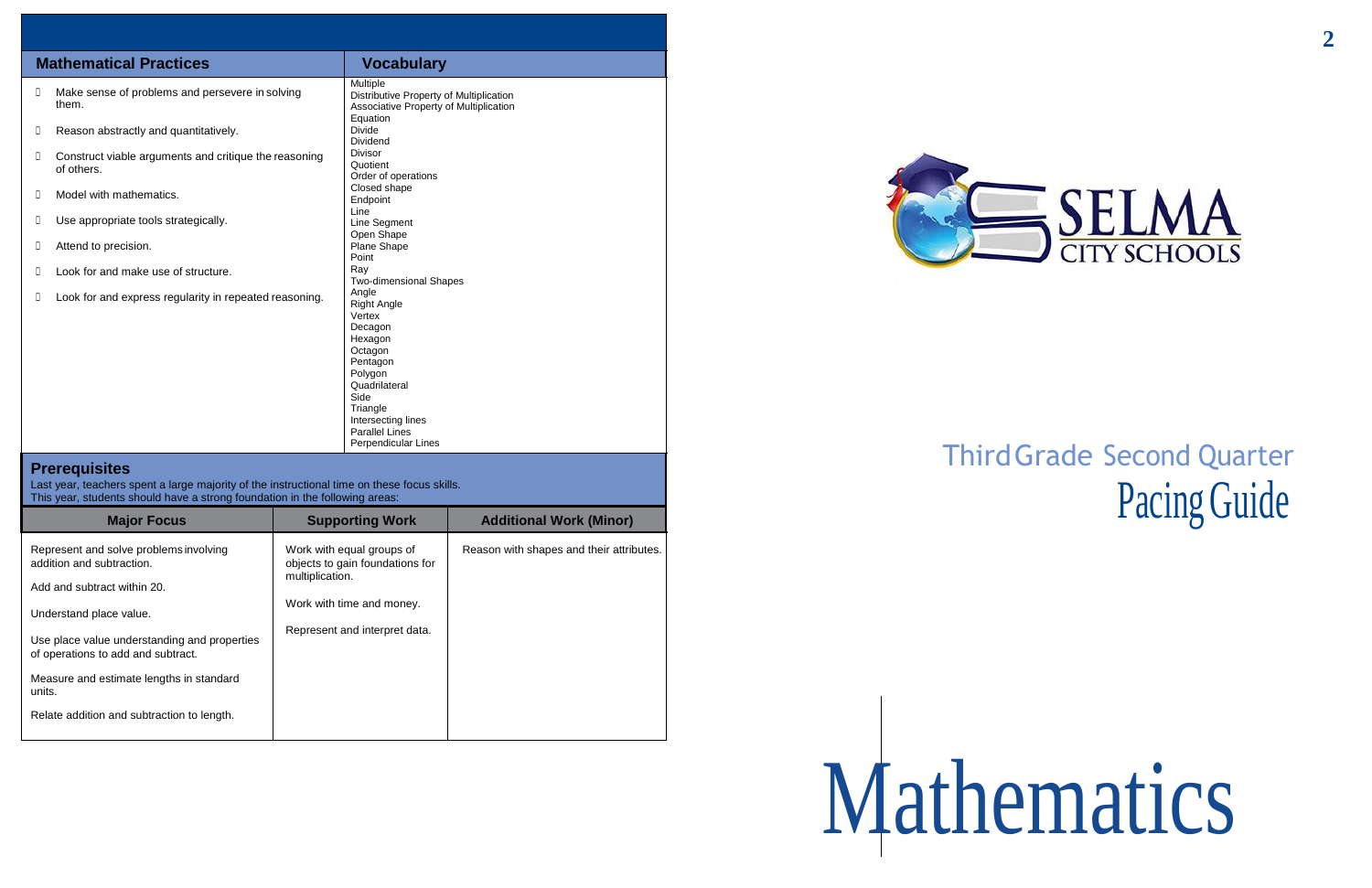# ThirdGrade Second Quarter Pacing Guide

# Mathematics

|        | <b>Mathematical Practices</b>                                       | <b>Vocabulary</b>                                                                                                                                                                                        |
|--------|---------------------------------------------------------------------|----------------------------------------------------------------------------------------------------------------------------------------------------------------------------------------------------------|
| $\Box$ | Make sense of problems and persevere in solving<br>them.            | Multiple<br>Distributive Property of Multiplication<br>Associative Property of Multiplication<br>Equation                                                                                                |
| D      | Reason abstractly and quantitatively.                               | Divide<br>Dividend                                                                                                                                                                                       |
| $\Box$ | Construct viable arguments and critique the reasoning<br>of others. | <b>Divisor</b><br>Quotient<br>Order of operations                                                                                                                                                        |
| D      | Model with mathematics.                                             | Closed shape<br>Endpoint<br>Line                                                                                                                                                                         |
| D      | Use appropriate tools strategically.                                | Line Segment<br>Open Shape                                                                                                                                                                               |
| $\Box$ | Attend to precision.                                                | Plane Shape<br>Point                                                                                                                                                                                     |
| Л      | Look for and make use of structure.                                 | Ray<br><b>Two-dimensional Shapes</b>                                                                                                                                                                     |
| $\Box$ | Look for and express regularity in repeated reasoning.              | Angle<br><b>Right Angle</b><br>Vertex<br>Decagon<br>Hexagon<br>Octagon<br>Pentagon<br>Polygon<br>Quadrilateral<br>Side<br>Triangle<br>Intersecting lines<br><b>Parallel Lines</b><br>Perpendicular Lines |

## **Prerequisites**

Last year, teachers spent a large majority of the instructional time on these focus skills. This year, students should have a strong foundation in the following areas:

| <b>Major Focus</b>                                                                 | <b>Supporting Work</b>                                       | <b>Additional Work (Minor)</b>           |  |
|------------------------------------------------------------------------------------|--------------------------------------------------------------|------------------------------------------|--|
| Represent and solve problems involving<br>addition and subtraction.                | Work with equal groups of<br>objects to gain foundations for | Reason with shapes and their attributes. |  |
| Add and subtract within 20.                                                        | multiplication.                                              |                                          |  |
| Understand place value.                                                            | Work with time and money.                                    |                                          |  |
| Use place value understanding and properties<br>of operations to add and subtract. | Represent and interpret data.                                |                                          |  |
| Measure and estimate lengths in standard<br>units.                                 |                                                              |                                          |  |
| Relate addition and subtraction to length.                                         |                                                              |                                          |  |



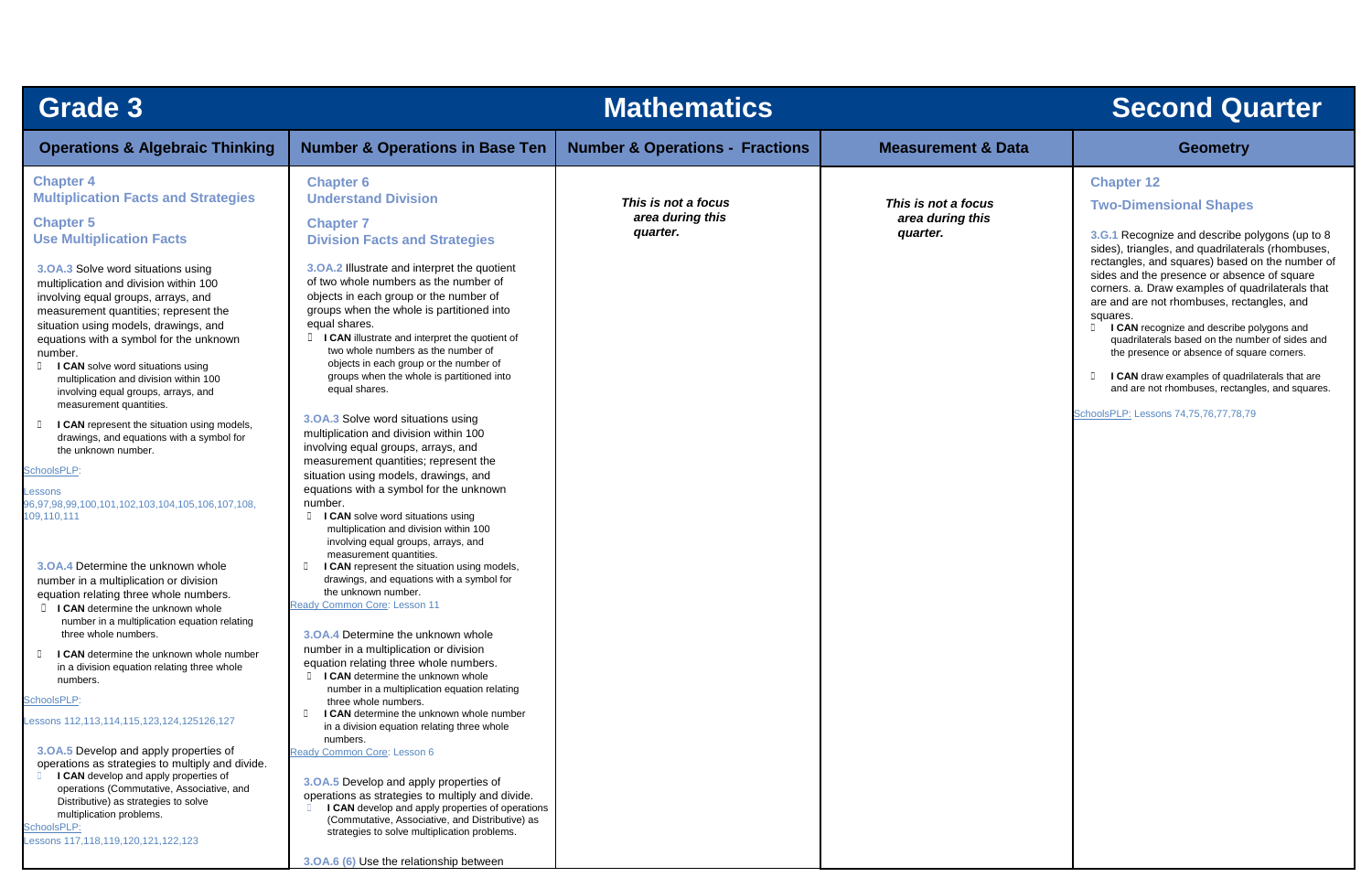| <b>Grade 3</b>                                                                                                                                                                                                                                                                                                                                                                                                      |                                                                                                                                                                                                                                                                                                                                                                                               | <b>Mathematics</b>                                  |                                                     | <b>Second Quarter</b>                                                                                                                                                                                                                                                                                                                                                                                     |
|---------------------------------------------------------------------------------------------------------------------------------------------------------------------------------------------------------------------------------------------------------------------------------------------------------------------------------------------------------------------------------------------------------------------|-----------------------------------------------------------------------------------------------------------------------------------------------------------------------------------------------------------------------------------------------------------------------------------------------------------------------------------------------------------------------------------------------|-----------------------------------------------------|-----------------------------------------------------|-----------------------------------------------------------------------------------------------------------------------------------------------------------------------------------------------------------------------------------------------------------------------------------------------------------------------------------------------------------------------------------------------------------|
| <b>Operations &amp; Algebraic Thinking</b>                                                                                                                                                                                                                                                                                                                                                                          | <b>Number &amp; Operations in Base Ten</b>                                                                                                                                                                                                                                                                                                                                                    | <b>Number &amp; Operations - Fractions</b>          | <b>Measurement &amp; Data</b>                       | <b>Geometry</b>                                                                                                                                                                                                                                                                                                                                                                                           |
| <b>Chapter 4</b><br><b>Multiplication Facts and Strategies</b><br><b>Chapter 5</b><br><b>Use Multiplication Facts</b>                                                                                                                                                                                                                                                                                               | <b>Chapter 6</b><br><b>Understand Division</b><br><b>Chapter 7</b><br><b>Division Facts and Strategies</b>                                                                                                                                                                                                                                                                                    | This is not a focus<br>area during this<br>quarter. | This is not a focus<br>area during this<br>quarter. | <b>Chapter 12</b><br><b>Two-Dimensional Shapes</b><br>3.G.1 Recognize and describe polygons (up to<br>sides), triangles, and quadrilaterals (rhombuse<br>rectangles, and squares) based on the number                                                                                                                                                                                                     |
| 3.OA.3 Solve word situations using<br>multiplication and division within 100<br>involving equal groups, arrays, and<br>measurement quantities; represent the<br>situation using models, drawings, and<br>equations with a symbol for the unknown<br>number.<br><b>I CAN</b> solve word situations using<br>multiplication and division within 100<br>involving equal groups, arrays, and<br>measurement quantities. | 3.0A.2 Illustrate and interpret the quotient<br>of two whole numbers as the number of<br>objects in each group or the number of<br>groups when the whole is partitioned into<br>equal shares.<br>I CAN illustrate and interpret the quotient of<br>two whole numbers as the number of<br>objects in each group or the number of<br>groups when the whole is partitioned into<br>equal shares. |                                                     |                                                     | sides and the presence or absence of square<br>corners. a. Draw examples of quadrilaterals that<br>are and are not rhombuses, rectangles, and<br>squares.<br>I CAN recognize and describe polygons and<br>quadrilaterals based on the number of sides an<br>the presence or absence of square corners.<br>I CAN draw examples of quadrilaterals that are<br>and are not rhombuses, rectangles, and square |
| I CAN represent the situation using models,<br>drawings, and equations with a symbol for<br>the unknown number.<br>SchoolsPLP:<br>Lessons<br>96,97,98,99,100,101,102,103,104,105,106,107,108,<br>109,110,111                                                                                                                                                                                                        | 3.OA.3 Solve word situations using<br>multiplication and division within 100<br>involving equal groups, arrays, and<br>measurement quantities; represent the<br>situation using models, drawings, and<br>equations with a symbol for the unknown<br>number.<br>I CAN solve word situations using<br>D.<br>multiplication and division within 100<br>involving equal groups, arrays, and       |                                                     |                                                     | SchoolsPLP: Lessons 74,75,76,77,78,79                                                                                                                                                                                                                                                                                                                                                                     |
| 3.0A.4 Determine the unknown whole<br>number in a multiplication or division<br>equation relating three whole numbers.<br><b>I I CAN</b> determine the unknown whole<br>number in a multiplication equation relating                                                                                                                                                                                                | measurement quantities.<br>I CAN represent the situation using models,<br>$\Box$<br>drawings, and equations with a symbol for<br>the unknown number.<br>Ready Common Core: Lesson 11                                                                                                                                                                                                          |                                                     |                                                     |                                                                                                                                                                                                                                                                                                                                                                                                           |
| three whole numbers.<br>I CAN determine the unknown whole number<br>in a division equation relating three whole<br>numbers.<br>SchoolsPLP:<br>Lessons 112,113,114,115,123,124,125126,127                                                                                                                                                                                                                            | 3.0A.4 Determine the unknown whole<br>number in a multiplication or division<br>equation relating three whole numbers.<br><b>I CAN</b> determine the unknown whole<br>number in a multiplication equation relating<br>three whole numbers.<br>I CAN determine the unknown whole number<br>$\Box$<br>in a division equation relating three whole                                               |                                                     |                                                     |                                                                                                                                                                                                                                                                                                                                                                                                           |
| 3.0A.5 Develop and apply properties of<br>operations as strategies to multiply and divide.<br>I CAN develop and apply properties of<br>operations (Commutative, Associative, and<br>Distributive) as strategies to solve<br>multiplication problems.<br>SchoolsPLP:<br>Lessons 117,118,119,120,121,122,123                                                                                                          | numbers.<br>Ready Common Core: Lesson 6<br>3.0A.5 Develop and apply properties of<br>operations as strategies to multiply and divide.<br>I CAN develop and apply properties of operations<br>(Commutative, Associative, and Distributive) as<br>strategies to solve multiplication problems.<br>3.OA.6 (6) Use the relationship between                                                       |                                                     |                                                     |                                                                                                                                                                                                                                                                                                                                                                                                           |

| <b>Second Quarter</b> |                                                                                                                                                                                                                                                                                                                                                                                                                                                                                                                                                                                                                                                                                  |  |  |
|-----------------------|----------------------------------------------------------------------------------------------------------------------------------------------------------------------------------------------------------------------------------------------------------------------------------------------------------------------------------------------------------------------------------------------------------------------------------------------------------------------------------------------------------------------------------------------------------------------------------------------------------------------------------------------------------------------------------|--|--|
|                       | <b>Geometry</b>                                                                                                                                                                                                                                                                                                                                                                                                                                                                                                                                                                                                                                                                  |  |  |
| ata                   | <b>Chapter 12</b><br><b>Two-Dimensional Shapes</b><br>3.G.1 Recognize and describe polygons (up to 8<br>sides), triangles, and quadrilaterals (rhombuses,<br>rectangles, and squares) based on the number of<br>sides and the presence or absence of square<br>corners. a. Draw examples of quadrilaterals that<br>are and are not rhombuses, rectangles, and<br>squares.<br>I CAN recognize and describe polygons and<br>Π.<br>quadrilaterals based on the number of sides and<br>the presence or absence of square corners.<br>I CAN draw examples of quadrilaterals that are<br>П<br>and are not rhombuses, rectangles, and squares.<br>SchoolsPLP: Lessons 74,75,76,77,78,79 |  |  |
|                       |                                                                                                                                                                                                                                                                                                                                                                                                                                                                                                                                                                                                                                                                                  |  |  |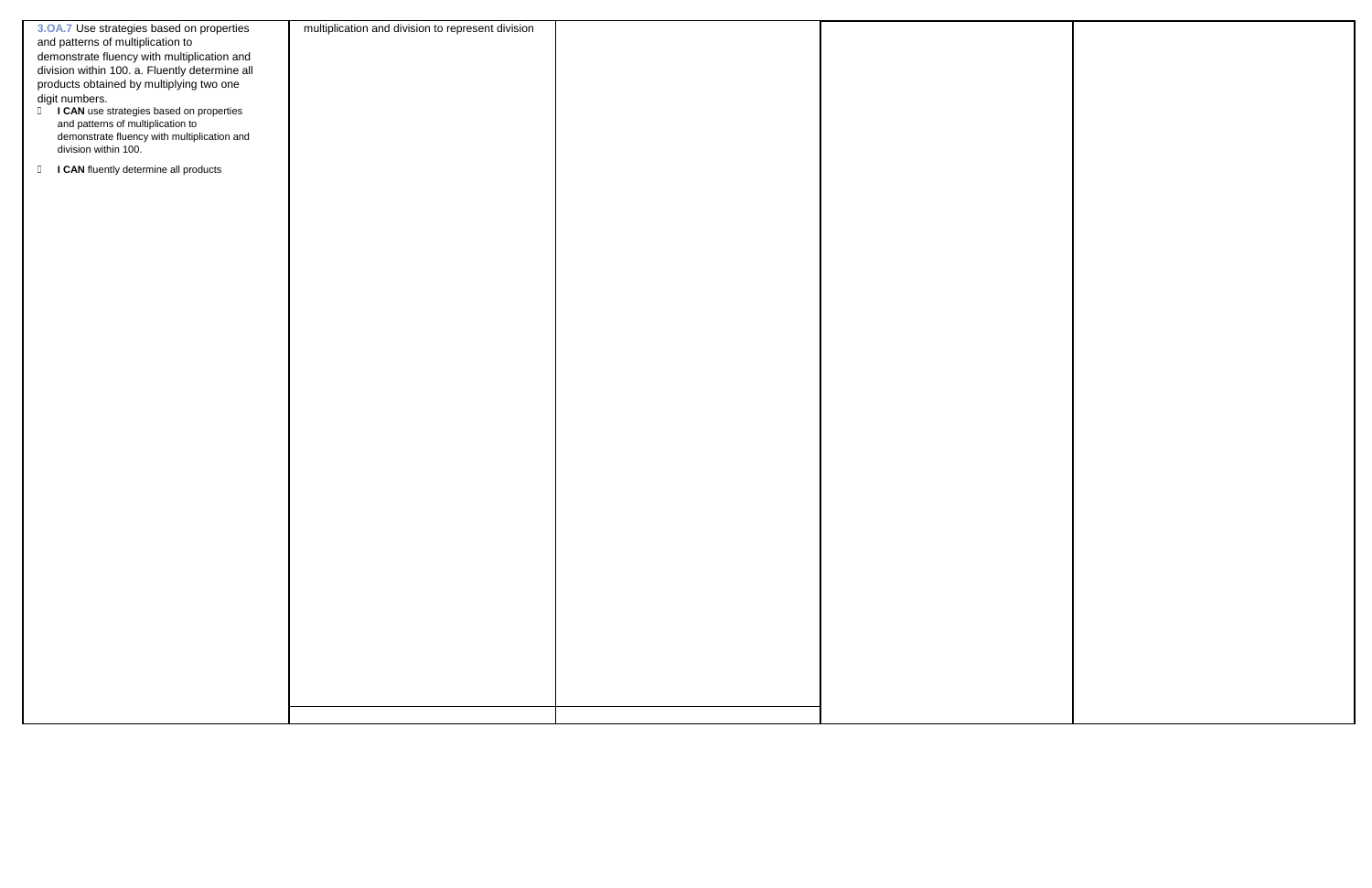| 3.OA.7 Use strategies based on properties       | multiplication and division to represent division |  |
|-------------------------------------------------|---------------------------------------------------|--|
| and patterns of multiplication to               |                                                   |  |
|                                                 |                                                   |  |
| demonstrate fluency with multiplication and     |                                                   |  |
| division within 100. a. Fluently determine all  |                                                   |  |
| products obtained by multiplying two one        |                                                   |  |
|                                                 |                                                   |  |
| digit numbers.                                  |                                                   |  |
| I CAN use strategies based on properties        |                                                   |  |
| and patterns of multiplication to               |                                                   |  |
| demonstrate fluency with multiplication and     |                                                   |  |
| division within 100.                            |                                                   |  |
|                                                 |                                                   |  |
| I CAN fluently determine all products<br>$\Box$ |                                                   |  |
|                                                 |                                                   |  |
|                                                 |                                                   |  |
|                                                 |                                                   |  |
|                                                 |                                                   |  |
|                                                 |                                                   |  |
|                                                 |                                                   |  |
|                                                 |                                                   |  |
|                                                 |                                                   |  |
|                                                 |                                                   |  |
|                                                 |                                                   |  |
|                                                 |                                                   |  |
|                                                 |                                                   |  |
|                                                 |                                                   |  |
|                                                 |                                                   |  |
|                                                 |                                                   |  |
|                                                 |                                                   |  |
|                                                 |                                                   |  |
|                                                 |                                                   |  |
|                                                 |                                                   |  |
|                                                 |                                                   |  |
|                                                 |                                                   |  |
|                                                 |                                                   |  |
|                                                 |                                                   |  |
|                                                 |                                                   |  |
|                                                 |                                                   |  |
|                                                 |                                                   |  |
|                                                 |                                                   |  |
|                                                 |                                                   |  |
|                                                 |                                                   |  |
|                                                 |                                                   |  |
|                                                 |                                                   |  |
|                                                 |                                                   |  |
|                                                 |                                                   |  |
|                                                 |                                                   |  |
|                                                 |                                                   |  |
|                                                 |                                                   |  |
|                                                 |                                                   |  |
|                                                 |                                                   |  |
|                                                 |                                                   |  |
|                                                 |                                                   |  |
|                                                 |                                                   |  |
|                                                 |                                                   |  |
|                                                 |                                                   |  |
|                                                 |                                                   |  |
|                                                 |                                                   |  |
|                                                 |                                                   |  |
|                                                 |                                                   |  |
|                                                 |                                                   |  |
|                                                 |                                                   |  |
|                                                 |                                                   |  |
|                                                 |                                                   |  |

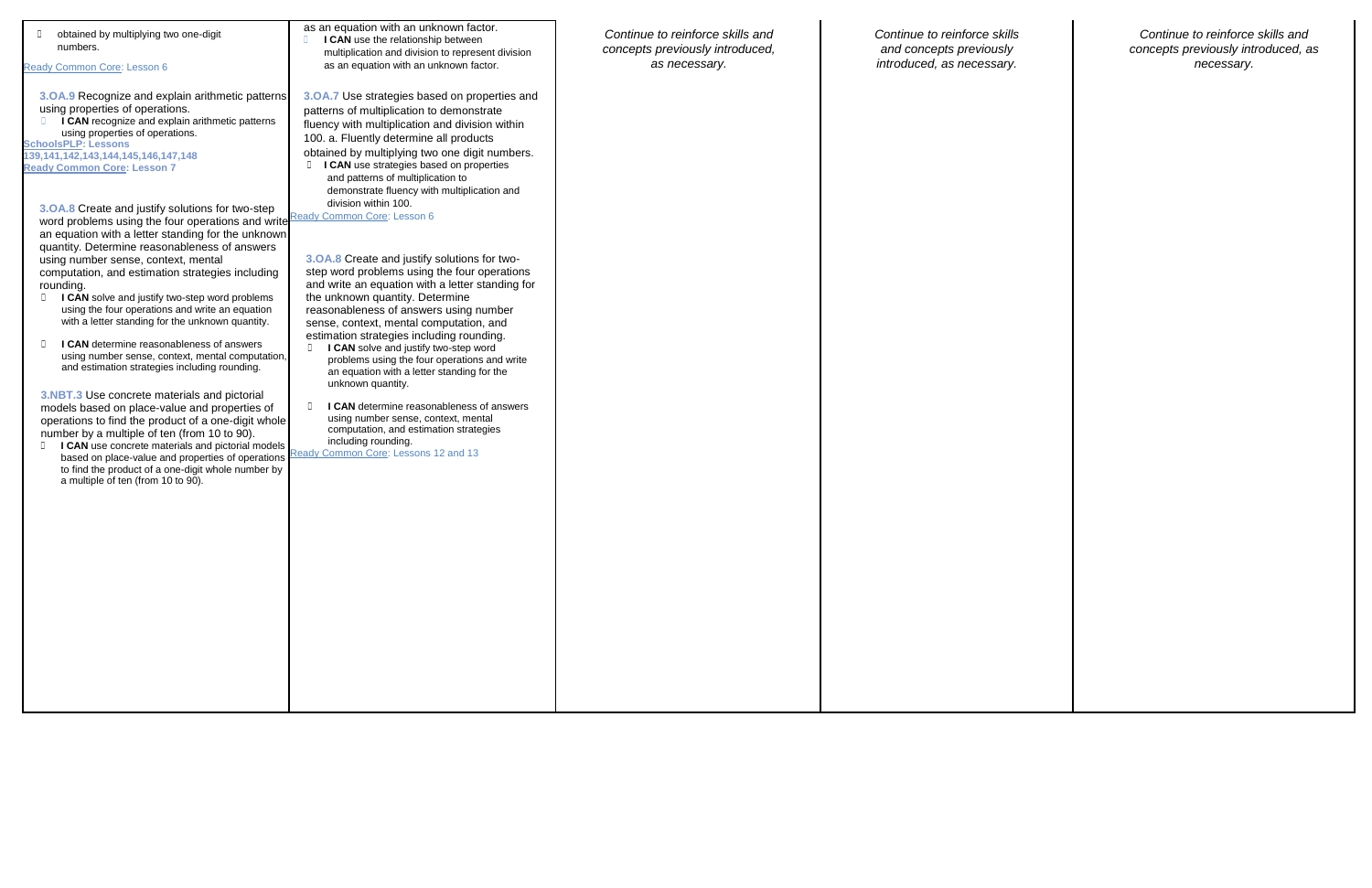| obtained by multiplying two one-digit<br>numbers.<br>Ready Common Core: Lesson 6                                                                                                                                                                                                                                                                                                                                                                                                                                                                                                                                                                                                                                                                                                                                                                                                                                                                                                                                                                                                                                                                                                                                                                                                                                                                                                                 | as an equation with an unknown factor.<br>I CAN use the relationship between<br>multiplication and division to represent division<br>as an equation with an unknown factor.                                                                                                                                                                                                                                                                                                                                                                                                                                                                                                                                                                                                                                                                                                                                                                                                                                                                                                          | Continue to reinforce skills and<br>concepts previously introduced,<br>as necessary. | Continue to reinforce skills<br>and concepts previously<br>introduced, as necessary. |
|--------------------------------------------------------------------------------------------------------------------------------------------------------------------------------------------------------------------------------------------------------------------------------------------------------------------------------------------------------------------------------------------------------------------------------------------------------------------------------------------------------------------------------------------------------------------------------------------------------------------------------------------------------------------------------------------------------------------------------------------------------------------------------------------------------------------------------------------------------------------------------------------------------------------------------------------------------------------------------------------------------------------------------------------------------------------------------------------------------------------------------------------------------------------------------------------------------------------------------------------------------------------------------------------------------------------------------------------------------------------------------------------------|--------------------------------------------------------------------------------------------------------------------------------------------------------------------------------------------------------------------------------------------------------------------------------------------------------------------------------------------------------------------------------------------------------------------------------------------------------------------------------------------------------------------------------------------------------------------------------------------------------------------------------------------------------------------------------------------------------------------------------------------------------------------------------------------------------------------------------------------------------------------------------------------------------------------------------------------------------------------------------------------------------------------------------------------------------------------------------------|--------------------------------------------------------------------------------------|--------------------------------------------------------------------------------------|
| 3.0A.9 Recognize and explain arithmetic patterns<br>using properties of operations.<br>I CAN recognize and explain arithmetic patterns<br>using properties of operations.<br><b>SchoolsPLP: Lessons</b><br>139, 141, 142, 143, 144, 145, 146, 147, 148<br><b>Ready Common Core: Lesson 7</b><br>3. OA.8 Create and justify solutions for two-step<br>word problems using the four operations and write Ready Common Core: Lesson 6<br>an equation with a letter standing for the unknown<br>quantity. Determine reasonableness of answers<br>using number sense, context, mental<br>computation, and estimation strategies including<br>rounding.<br>I CAN solve and justify two-step word problems<br>$\Box$<br>using the four operations and write an equation<br>with a letter standing for the unknown quantity.<br>I CAN determine reasonableness of answers<br>O.<br>using number sense, context, mental computation,<br>and estimation strategies including rounding.<br>3.NBT.3 Use concrete materials and pictorial<br>models based on place-value and properties of<br>operations to find the product of a one-digit whole<br>number by a multiple of ten (from 10 to 90).<br><b>ICAN</b> use concrete materials and pictorial models<br>based on place-value and properties of operations<br>to find the product of a one-digit whole number by<br>a multiple of ten (from 10 to 90). | 3.0A.7 Use strategies based on properties and<br>patterns of multiplication to demonstrate<br>fluency with multiplication and division within<br>100. a. Fluently determine all products<br>obtained by multiplying two one digit numbers.<br>I CAN use strategies based on properties<br>and patterns of multiplication to<br>demonstrate fluency with multiplication and<br>division within 100.<br>3.OA.8 Create and justify solutions for two-<br>step word problems using the four operations<br>and write an equation with a letter standing for<br>the unknown quantity. Determine<br>reasonableness of answers using number<br>sense, context, mental computation, and<br>estimation strategies including rounding.<br>I CAN solve and justify two-step word<br>problems using the four operations and write<br>an equation with a letter standing for the<br>unknown quantity.<br>I CAN determine reasonableness of answers<br>using number sense, context, mental<br>computation, and estimation strategies<br>including rounding.<br>Ready Common Core: Lessons 12 and 13 |                                                                                      |                                                                                      |
|                                                                                                                                                                                                                                                                                                                                                                                                                                                                                                                                                                                                                                                                                                                                                                                                                                                                                                                                                                                                                                                                                                                                                                                                                                                                                                                                                                                                  |                                                                                                                                                                                                                                                                                                                                                                                                                                                                                                                                                                                                                                                                                                                                                                                                                                                                                                                                                                                                                                                                                      |                                                                                      |                                                                                      |

*Continue to reinforce skills* 

*Continue to reinforce skills and concepts previously introduced, as necessary.*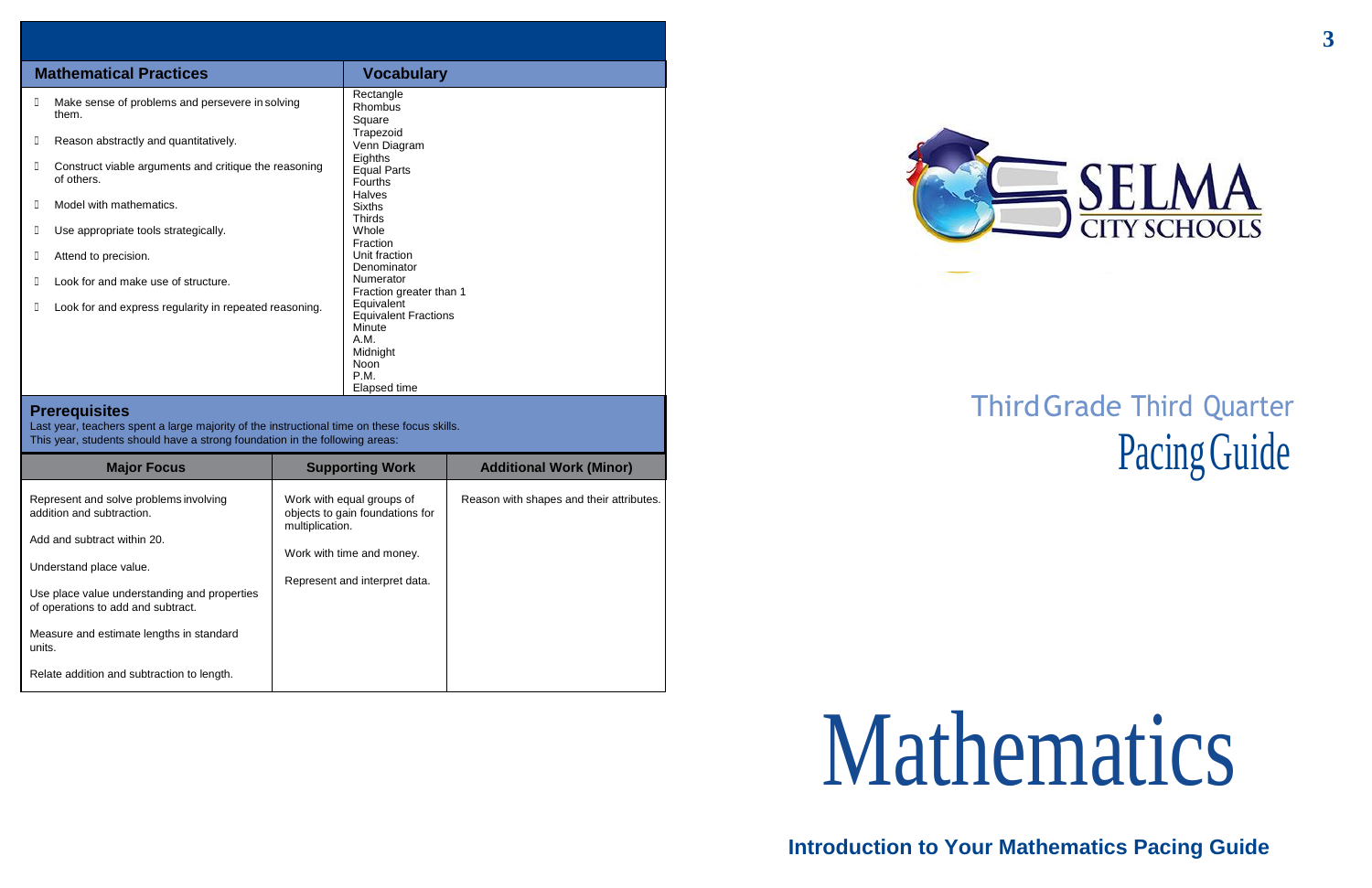# ThirdGrade Third Quarter Pacing Guide

# Mathematics

**Introduction to Your Mathematics Pacing Guide**



| Ш | <b>Mathematical Practices</b>                                       |                                                                                                         |
|---|---------------------------------------------------------------------|---------------------------------------------------------------------------------------------------------|
|   |                                                                     | <b>Vocabulary</b>                                                                                       |
|   | Make sense of problems and persevere in solving<br>them.            | Rectangle<br>Rhombus<br>Square                                                                          |
| Ш | Reason abstractly and quantitatively.                               | Trapezoid<br>Venn Diagram                                                                               |
| Ш | Construct viable arguments and critique the reasoning<br>of others. | Eighths<br><b>Equal Parts</b><br><b>Fourths</b><br><b>Halves</b>                                        |
| Ш | Model with mathematics.                                             | <b>Sixths</b><br><b>Thirds</b>                                                                          |
|   | Use appropriate tools strategically.                                | Whole<br>Fraction                                                                                       |
|   | Attend to precision.                                                | Unit fraction<br>Denominator                                                                            |
|   | Look for and make use of structure.                                 | Numerator<br>Fraction greater than 1                                                                    |
|   | Look for and express regularity in repeated reasoning.              | Equivalent<br><b>Equivalent Fractions</b><br>Minute<br>A.M.<br>Midnight<br>Noon<br>P.M.<br>Elapsed time |

## **Prerequisites**

Last year, teachers spent a large majority of the instructional time on these focus skills. This year, students should have a strong foundation in the following areas:

| <b>Major Focus</b>                                                                 | <b>Supporting Work</b>                                                          | <b>Additional Work (Minor)</b>           |
|------------------------------------------------------------------------------------|---------------------------------------------------------------------------------|------------------------------------------|
| Represent and solve problems involving<br>addition and subtraction.                | Work with equal groups of<br>objects to gain foundations for<br>multiplication. | Reason with shapes and their attributes. |
| Add and subtract within 20.                                                        |                                                                                 |                                          |
| Understand place value.                                                            | Work with time and money.                                                       |                                          |
| Use place value understanding and properties<br>of operations to add and subtract. | Represent and interpret data.                                                   |                                          |
| Measure and estimate lengths in standard<br>units.                                 |                                                                                 |                                          |
| Relate addition and subtraction to length.                                         |                                                                                 |                                          |



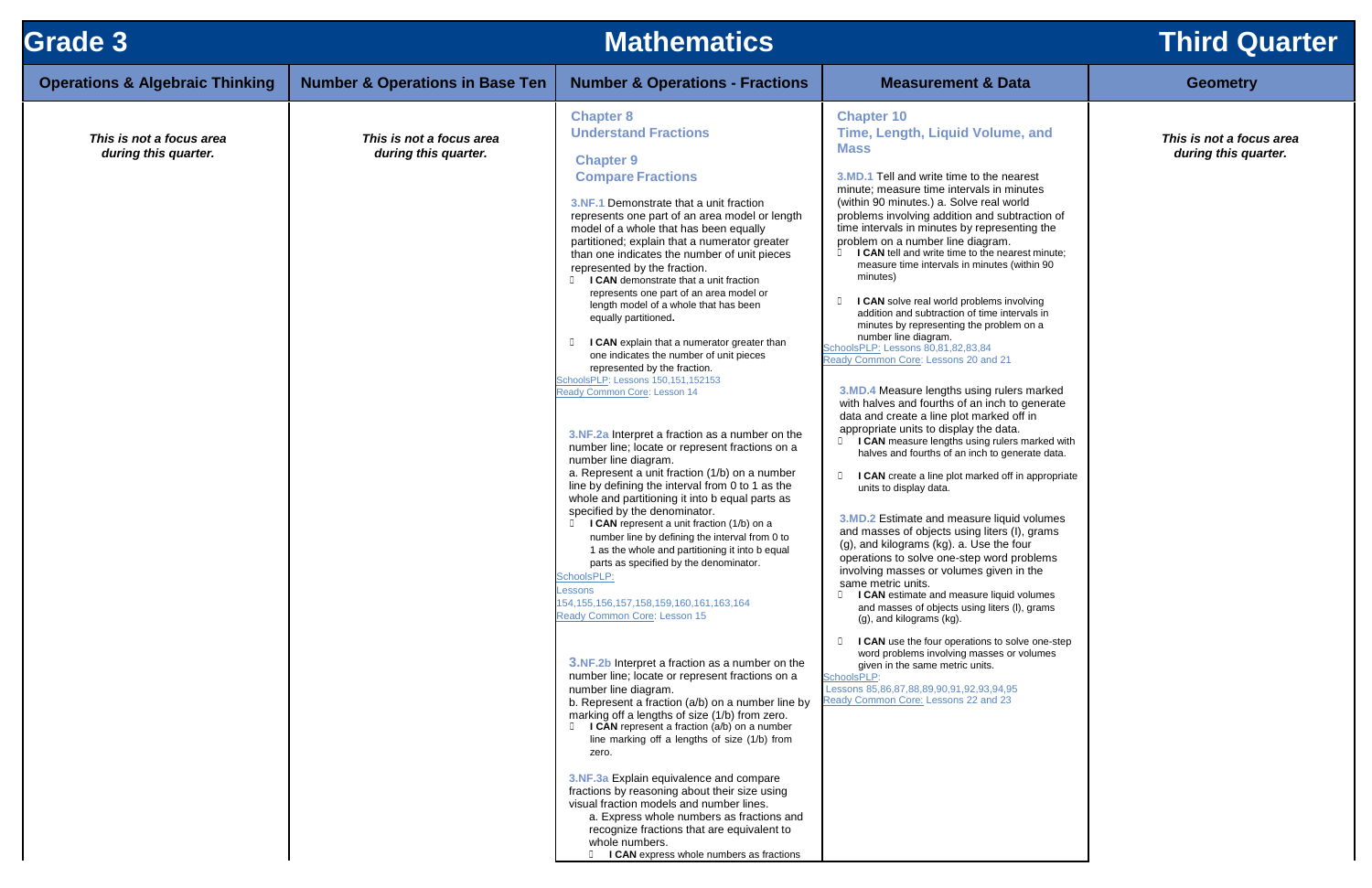| <b>Grade 3</b>                                   | <b>Mathematics</b>                               |                                                                                                                                                                                                                                                                                                                                                                                                                                                                                                                                                                                                                                                                                                                                                                                                                                                                                                                                                                                                                                                                                                                                                                                                                                                                                                                                                                                                                                                                                                                                                                                                                                                                                                                                                                                                                                                                                                                                                                                                                                   |                                                                                                                                                                                                                                                                                                                                                                                                                                                                                                                                                                                                                                                                                                                                                                                                                                                                                                                                                                                                                                                                                                                                                                                                                                                                                                                                                                                                                                                                                                                                                                                                                                                                                                                                                                          | <b>Third Q</b>                      |
|--------------------------------------------------|--------------------------------------------------|-----------------------------------------------------------------------------------------------------------------------------------------------------------------------------------------------------------------------------------------------------------------------------------------------------------------------------------------------------------------------------------------------------------------------------------------------------------------------------------------------------------------------------------------------------------------------------------------------------------------------------------------------------------------------------------------------------------------------------------------------------------------------------------------------------------------------------------------------------------------------------------------------------------------------------------------------------------------------------------------------------------------------------------------------------------------------------------------------------------------------------------------------------------------------------------------------------------------------------------------------------------------------------------------------------------------------------------------------------------------------------------------------------------------------------------------------------------------------------------------------------------------------------------------------------------------------------------------------------------------------------------------------------------------------------------------------------------------------------------------------------------------------------------------------------------------------------------------------------------------------------------------------------------------------------------------------------------------------------------------------------------------------------------|--------------------------------------------------------------------------------------------------------------------------------------------------------------------------------------------------------------------------------------------------------------------------------------------------------------------------------------------------------------------------------------------------------------------------------------------------------------------------------------------------------------------------------------------------------------------------------------------------------------------------------------------------------------------------------------------------------------------------------------------------------------------------------------------------------------------------------------------------------------------------------------------------------------------------------------------------------------------------------------------------------------------------------------------------------------------------------------------------------------------------------------------------------------------------------------------------------------------------------------------------------------------------------------------------------------------------------------------------------------------------------------------------------------------------------------------------------------------------------------------------------------------------------------------------------------------------------------------------------------------------------------------------------------------------------------------------------------------------------------------------------------------------|-------------------------------------|
| <b>Operations &amp; Algebraic Thinking</b>       | <b>Number &amp; Operations in Base Ten</b>       | <b>Number &amp; Operations - Fractions</b>                                                                                                                                                                                                                                                                                                                                                                                                                                                                                                                                                                                                                                                                                                                                                                                                                                                                                                                                                                                                                                                                                                                                                                                                                                                                                                                                                                                                                                                                                                                                                                                                                                                                                                                                                                                                                                                                                                                                                                                        | <b>Measurement &amp; Data</b>                                                                                                                                                                                                                                                                                                                                                                                                                                                                                                                                                                                                                                                                                                                                                                                                                                                                                                                                                                                                                                                                                                                                                                                                                                                                                                                                                                                                                                                                                                                                                                                                                                                                                                                                            | <b>Geometry</b>                     |
| This is not a focus area<br>during this quarter. | This is not a focus area<br>during this quarter. | <b>Chapter 8</b><br><b>Understand Fractions</b><br><b>Chapter 9</b><br><b>Compare Fractions</b><br>3.NF.1 Demonstrate that a unit fraction<br>represents one part of an area model or length<br>model of a whole that has been equally<br>partitioned; explain that a numerator greater<br>than one indicates the number of unit pieces<br>represented by the fraction.<br>I CAN demonstrate that a unit fraction<br>$\Box$<br>represents one part of an area model or<br>length model of a whole that has been<br>equally partitioned.<br>I CAN explain that a numerator greater than<br>one indicates the number of unit pieces<br>represented by the fraction.<br>SchoolsPLP: Lessons 150,151,152153<br>Ready Common Core: Lesson 14<br>3.NF.2a Interpret a fraction as a number on the<br>number line; locate or represent fractions on a<br>number line diagram.<br>a. Represent a unit fraction (1/b) on a number<br>line by defining the interval from 0 to 1 as the<br>whole and partitioning it into b equal parts as<br>specified by the denominator.<br>I CAN represent a unit fraction (1/b) on a<br>number line by defining the interval from 0 to<br>1 as the whole and partitioning it into b equal<br>parts as specified by the denominator.<br>SchoolsPLP:<br>Lessons<br>154, 155, 156, 157, 158, 159, 160, 161, 163, 164<br>Ready Common Core: Lesson 15<br><b>3.NF.2b</b> Interpret a fraction as a number on the<br>number line; locate or represent fractions on a<br>number line diagram.<br>b. Represent a fraction (a/b) on a number line by<br>marking off a lengths of size (1/b) from zero.<br>I CAN represent a fraction (a/b) on a number<br>line marking off a lengths of size (1/b) from<br>zero.<br>3.NF.3a Explain equivalence and compare<br>fractions by reasoning about their size using<br>visual fraction models and number lines.<br>a. Express whole numbers as fractions and<br>recognize fractions that are equivalent to<br>whole numbers.<br>I CAN express whole numbers as fractions | <b>Chapter 10</b><br>Time, Length, Liquid Volume, and<br><b>Mass</b><br>3.MD.1 Tell and write time to the nearest<br>minute; measure time intervals in minutes<br>(within 90 minutes.) a. Solve real world<br>problems involving addition and subtraction of<br>time intervals in minutes by representing the<br>problem on a number line diagram.<br><b>I CAN</b> tell and write time to the nearest minute;<br>measure time intervals in minutes (within 90<br>minutes)<br>I CAN solve real world problems involving<br>addition and subtraction of time intervals in<br>minutes by representing the problem on a<br>number line diagram.<br>SchoolsPLP: Lessons 80,81,82,83,84<br>Ready Common Core: Lessons 20 and 21<br>3.MD.4 Measure lengths using rulers marked<br>with halves and fourths of an inch to generate<br>data and create a line plot marked off in<br>appropriate units to display the data.<br>I CAN measure lengths using rulers marked with<br>$\Box$<br>halves and fourths of an inch to generate data.<br>$\Box$<br>I CAN create a line plot marked off in appropriate<br>units to display data.<br>3.MD.2 Estimate and measure liquid volumes<br>and masses of objects using liters (I), grams<br>(g), and kilograms (kg). a. Use the four<br>operations to solve one-step word problems<br>involving masses or volumes given in the<br>same metric units.<br>I CAN estimate and measure liquid volumes<br>$\Box$<br>and masses of objects using liters (I), grams<br>(g), and kilograms (kg).<br>I CAN use the four operations to solve one-step<br>$\Box$<br>word problems involving masses or volumes<br>given in the same metric units.<br>SchoolsPLP:<br>Lessons 85,86,87,88,89,90,91,92,93,94,95<br>Ready Common Core: Lessons 22 and 23 | This is not a foc<br>during this qu |

# **Third Quarter**

## me, and

### *This is not a focus area during this quarter.*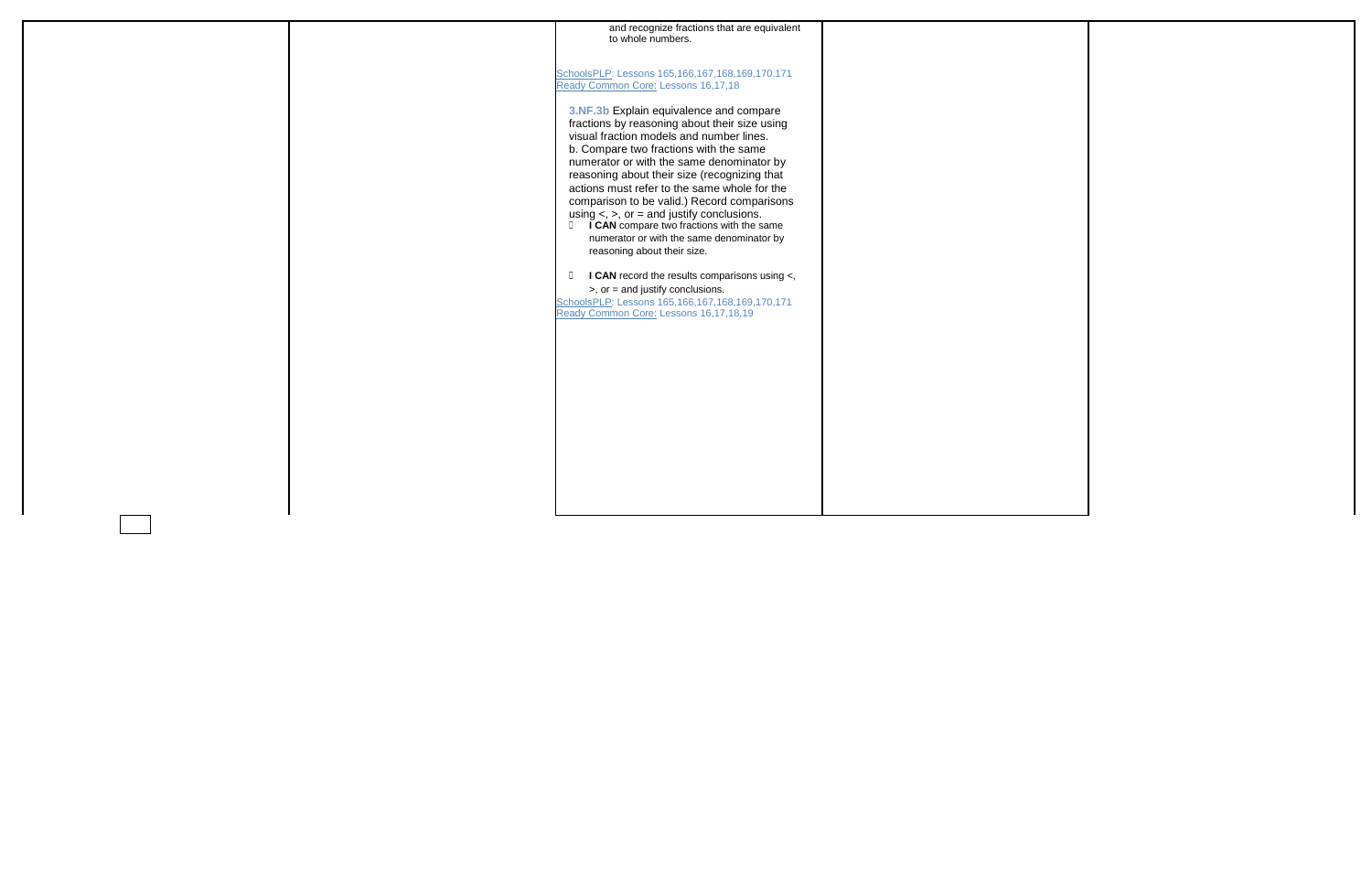|  | and recognize fractions that are equivalent<br>to whole numbers.                                                                                                                                                                                                                                                                                                                                                                                                                                                                                                 |  |
|--|------------------------------------------------------------------------------------------------------------------------------------------------------------------------------------------------------------------------------------------------------------------------------------------------------------------------------------------------------------------------------------------------------------------------------------------------------------------------------------------------------------------------------------------------------------------|--|
|  | SchoolsPLP: Lessons 165,166,167,168,169,170,171<br>Ready Common Core: Lessons 16,17,18                                                                                                                                                                                                                                                                                                                                                                                                                                                                           |  |
|  | 3.NF.3b Explain equivalence and compare<br>fractions by reasoning about their size using<br>visual fraction models and number lines.<br>b. Compare two fractions with the same<br>numerator or with the same denominator by<br>reasoning about their size (recognizing that<br>actions must refer to the same whole for the<br>comparison to be valid.) Record comparisons<br>using $\lt$ , $\gt$ , or = and justify conclusions.<br><b>ICAN</b> compare two fractions with the same<br>numerator or with the same denominator by<br>reasoning about their size. |  |
|  | I CAN record the results comparisons using <,<br>$\Box$<br>$>$ , or = and justify conclusions.<br>SchoolsPLP: Lessons 165,166,167,168,169,170,171                                                                                                                                                                                                                                                                                                                                                                                                                |  |
|  | Ready Common Core: Lessons 16,17,18,19                                                                                                                                                                                                                                                                                                                                                                                                                                                                                                                           |  |
|  |                                                                                                                                                                                                                                                                                                                                                                                                                                                                                                                                                                  |  |
|  |                                                                                                                                                                                                                                                                                                                                                                                                                                                                                                                                                                  |  |
|  |                                                                                                                                                                                                                                                                                                                                                                                                                                                                                                                                                                  |  |
|  |                                                                                                                                                                                                                                                                                                                                                                                                                                                                                                                                                                  |  |

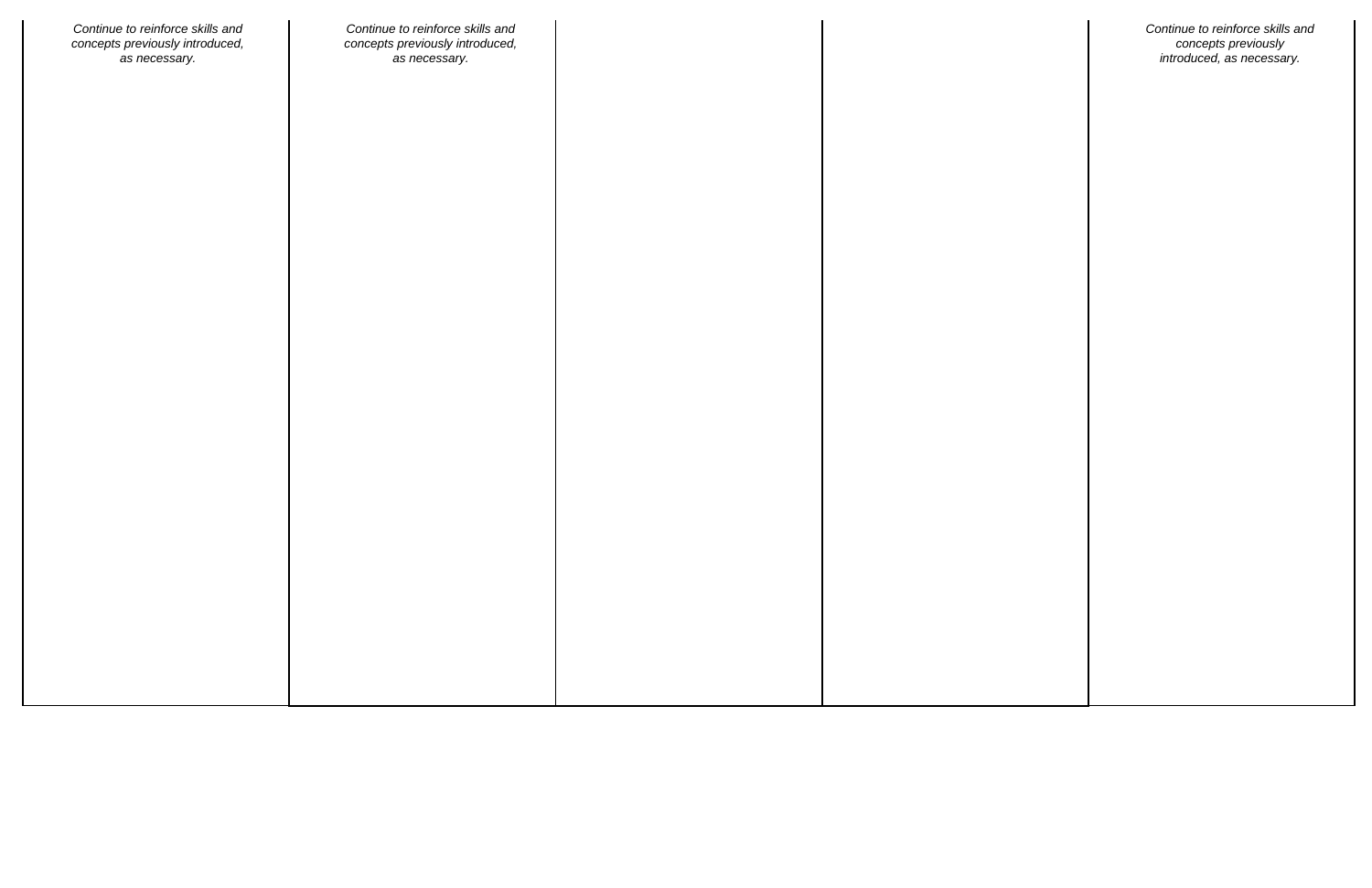| Continue to reinforce skills and | Continue to reinforce skills and |  |
|----------------------------------|----------------------------------|--|
| concepts previously introduced,  | concepts previously introduced,  |  |
| as necessary.                    | as necessary.                    |  |
|                                  |                                  |  |
|                                  |                                  |  |
|                                  |                                  |  |
|                                  |                                  |  |
|                                  |                                  |  |
|                                  |                                  |  |
|                                  |                                  |  |
|                                  |                                  |  |
|                                  |                                  |  |
|                                  |                                  |  |
|                                  |                                  |  |
|                                  |                                  |  |
|                                  |                                  |  |
|                                  |                                  |  |
|                                  |                                  |  |
|                                  |                                  |  |
|                                  |                                  |  |
|                                  |                                  |  |
|                                  |                                  |  |
|                                  |                                  |  |
|                                  |                                  |  |
|                                  |                                  |  |
|                                  |                                  |  |
|                                  |                                  |  |
|                                  |                                  |  |
|                                  |                                  |  |
|                                  |                                  |  |
|                                  |                                  |  |
|                                  |                                  |  |
|                                  |                                  |  |
|                                  |                                  |  |
|                                  |                                  |  |
|                                  |                                  |  |
|                                  |                                  |  |

*Continue to reinforce skills and concepts previously introduced, as necessary.*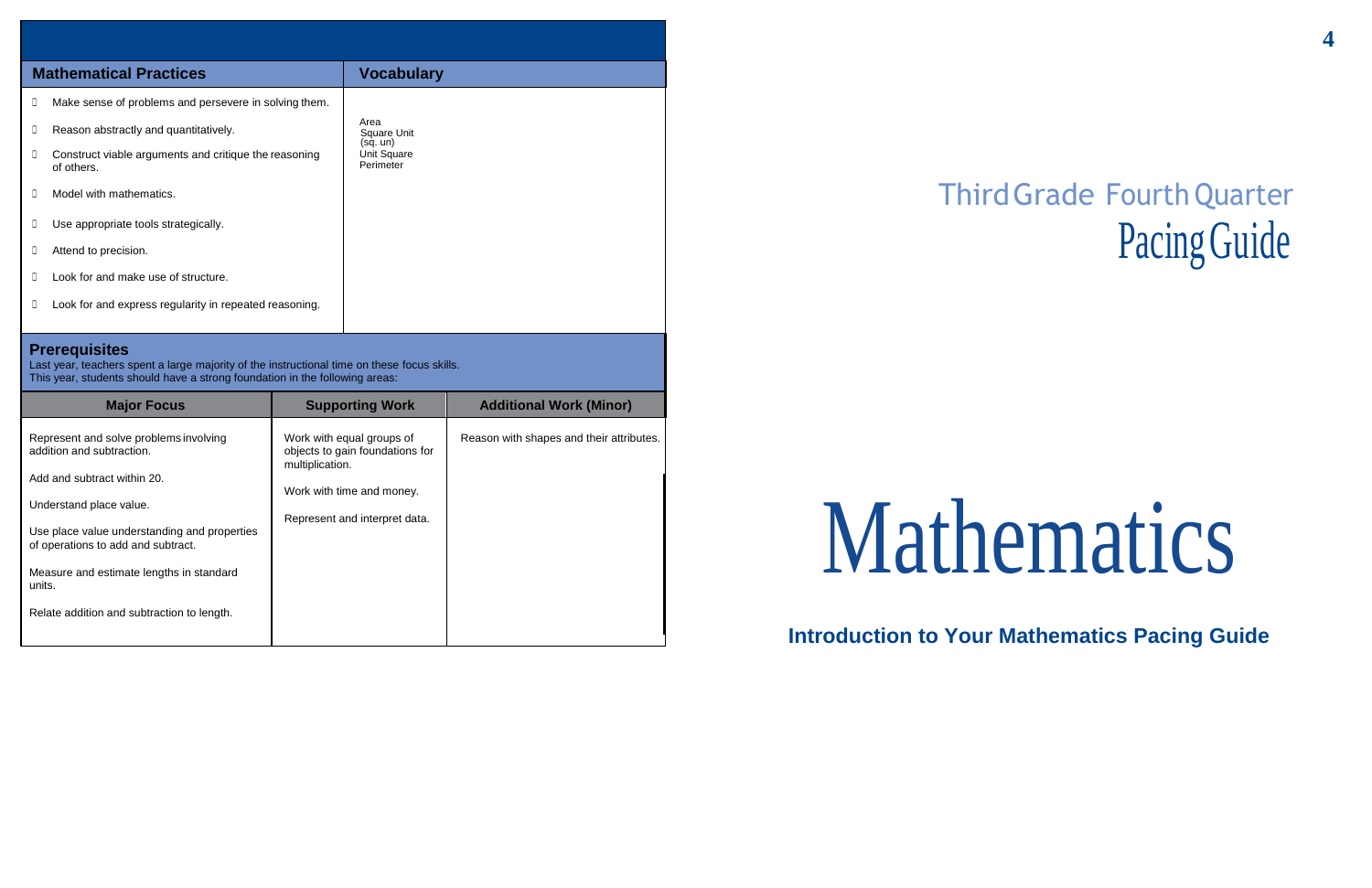**4**

# ThirdGrade FourthQuarter Pacing Guide

# Mathematics

# **Introduction to Your Mathematics Pacing Guide**

|                                                                                                                                                                                                    | <b>Mathematical Practices</b>                                       | <b>Vocabulary</b>                    |  |  |
|----------------------------------------------------------------------------------------------------------------------------------------------------------------------------------------------------|---------------------------------------------------------------------|--------------------------------------|--|--|
| O.                                                                                                                                                                                                 | Make sense of problems and persevere in solving them.               |                                      |  |  |
| O.                                                                                                                                                                                                 | Reason abstractly and quantitatively.                               | Area<br>Square Unit                  |  |  |
| O.                                                                                                                                                                                                 | Construct viable arguments and critique the reasoning<br>of others. | (sq. un)<br>Unit Square<br>Perimeter |  |  |
| O                                                                                                                                                                                                  | Model with mathematics.                                             |                                      |  |  |
| O.                                                                                                                                                                                                 | Use appropriate tools strategically.                                |                                      |  |  |
| Ш                                                                                                                                                                                                  | Attend to precision.                                                |                                      |  |  |
| П                                                                                                                                                                                                  | Look for and make use of structure.                                 |                                      |  |  |
| 0                                                                                                                                                                                                  | Look for and express regularity in repeated reasoning.              |                                      |  |  |
|                                                                                                                                                                                                    |                                                                     |                                      |  |  |
| <b>Prerequisites</b><br>Last year, teachers spent a large majority of the instructional time on these focus skills.<br>This year, students should have a strong foundation in the following areas: |                                                                     |                                      |  |  |

| <b>Major Focus</b>                                                                                                                                                                                                                                                                                                      | <b>Supporting Work</b>                                                                                                                        | <b>Additional Work (Minor)</b>           |
|-------------------------------------------------------------------------------------------------------------------------------------------------------------------------------------------------------------------------------------------------------------------------------------------------------------------------|-----------------------------------------------------------------------------------------------------------------------------------------------|------------------------------------------|
| Represent and solve problems involving<br>addition and subtraction.<br>Add and subtract within 20.<br>Understand place value.<br>Use place value understanding and properties<br>of operations to add and subtract.<br>Measure and estimate lengths in standard<br>units.<br>Relate addition and subtraction to length. | Work with equal groups of<br>objects to gain foundations for<br>multiplication.<br>Work with time and money.<br>Represent and interpret data. | Reason with shapes and their attributes. |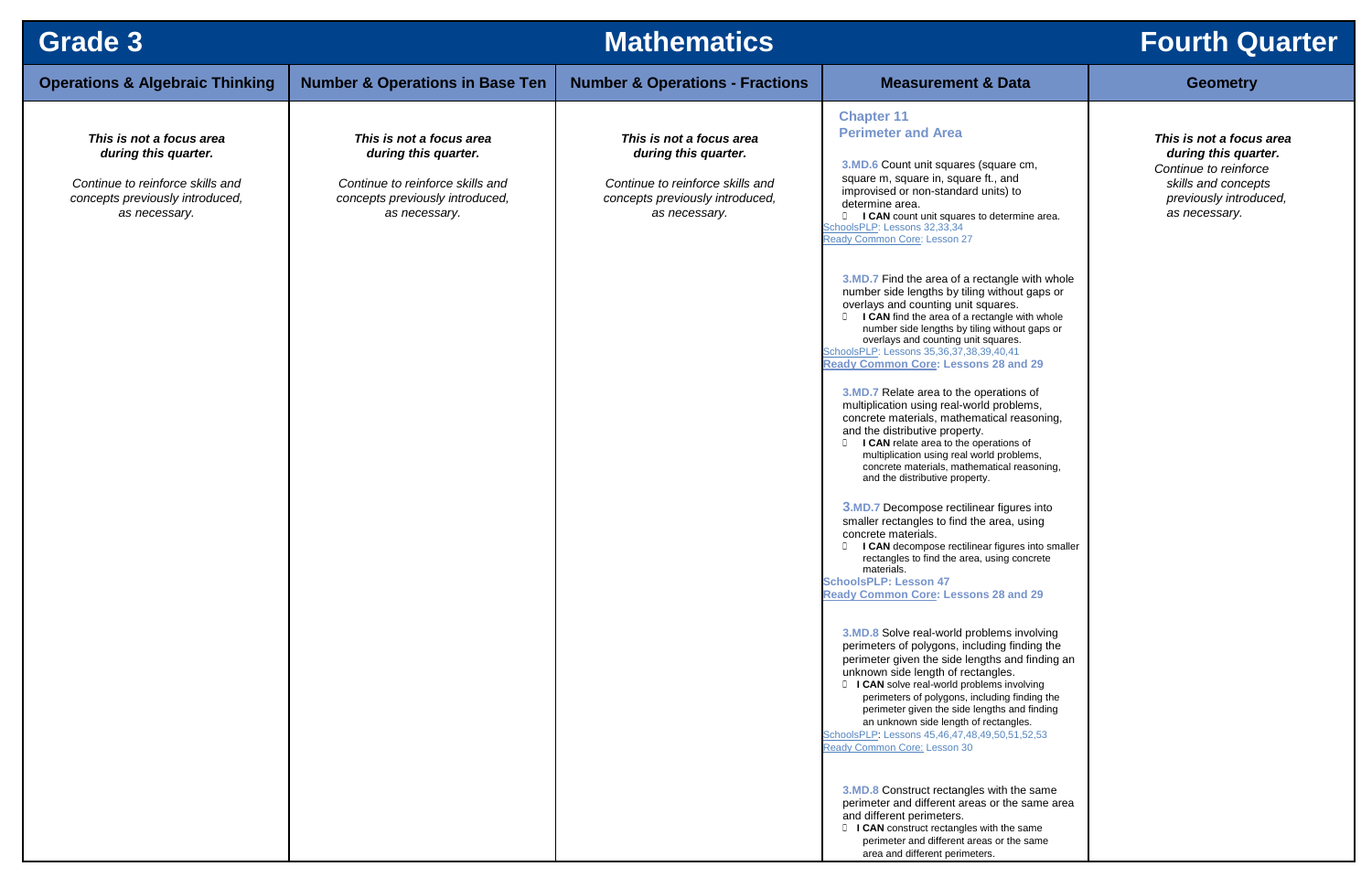### **and 29**

| Grade 3                                                                                                                                  | <b>Mathematics</b><br><b>Fourth Q</b>                                                                                                    |                                                                                                                                          |                                                                                                                                                                                                                                                                                                                                                                                                                                                                                                                                                                                                                                                                                                                                                                                                                                                                                                                                                                                                                                                                                                                                                                                                                                                                                                                                                                                                                                                                                                                                                                                                                                                                                                                                                                                                                      |                                                                                                                         |
|------------------------------------------------------------------------------------------------------------------------------------------|------------------------------------------------------------------------------------------------------------------------------------------|------------------------------------------------------------------------------------------------------------------------------------------|----------------------------------------------------------------------------------------------------------------------------------------------------------------------------------------------------------------------------------------------------------------------------------------------------------------------------------------------------------------------------------------------------------------------------------------------------------------------------------------------------------------------------------------------------------------------------------------------------------------------------------------------------------------------------------------------------------------------------------------------------------------------------------------------------------------------------------------------------------------------------------------------------------------------------------------------------------------------------------------------------------------------------------------------------------------------------------------------------------------------------------------------------------------------------------------------------------------------------------------------------------------------------------------------------------------------------------------------------------------------------------------------------------------------------------------------------------------------------------------------------------------------------------------------------------------------------------------------------------------------------------------------------------------------------------------------------------------------------------------------------------------------------------------------------------------------|-------------------------------------------------------------------------------------------------------------------------|
| <b>Operations &amp; Algebraic Thinking</b>                                                                                               | <b>Number &amp; Operations in Base Ten</b>                                                                                               | <b>Number &amp; Operations - Fractions</b>                                                                                               | <b>Measurement &amp; Data</b>                                                                                                                                                                                                                                                                                                                                                                                                                                                                                                                                                                                                                                                                                                                                                                                                                                                                                                                                                                                                                                                                                                                                                                                                                                                                                                                                                                                                                                                                                                                                                                                                                                                                                                                                                                                        | <b>Geometry</b>                                                                                                         |
| This is not a focus area<br>during this quarter.<br>Continue to reinforce skills and<br>concepts previously introduced,<br>as necessary. | This is not a focus area<br>during this quarter.<br>Continue to reinforce skills and<br>concepts previously introduced,<br>as necessary. | This is not a focus area<br>during this quarter.<br>Continue to reinforce skills and<br>concepts previously introduced,<br>as necessary. | <b>Chapter 11</b><br><b>Perimeter and Area</b><br>3.MD.6 Count unit squares (square cm,<br>square m, square in, square ft., and<br>improvised or non-standard units) to<br>determine area.<br><b>ICAN</b> count unit squares to determine area.<br>SchoolsPLP: Lessons 32,33,34<br>Ready Common Core: Lesson 27<br>3.MD.7 Find the area of a rectangle with whole<br>number side lengths by tiling without gaps or<br>overlays and counting unit squares.<br><b>ICAN</b> find the area of a rectangle with whole<br>number side lengths by tiling without gaps or<br>overlays and counting unit squares.<br>SchoolsPLP: Lessons 35,36,37,38,39,40,41<br><b>Ready Common Core: Lessons 28 and 29</b><br>3.MD.7 Relate area to the operations of<br>multiplication using real-world problems,<br>concrete materials, mathematical reasoning,<br>and the distributive property.<br><b>ICAN</b> relate area to the operations of<br>multiplication using real world problems,<br>concrete materials, mathematical reasoning,<br>and the distributive property.<br>3.MD.7 Decompose rectilinear figures into<br>smaller rectangles to find the area, using<br>concrete materials.<br>I CAN decompose rectilinear figures into smaller<br>rectangles to find the area, using concrete<br>materials.<br><b>SchoolsPLP: Lesson 47</b><br><b>Ready Common Core: Lessons 28 and 29</b><br>3.MD.8 Solve real-world problems involving<br>perimeters of polygons, including finding the<br>perimeter given the side lengths and finding an<br>unknown side length of rectangles.<br><b>I CAN</b> solve real-world problems involving<br>perimeters of polygons, including finding the<br>perimeter given the side lengths and finding<br>an unknown side length of rectangles.<br>SchoolsPLP: Lessons 45,46,47,48,49,50,51,52,53 | This is not a focu<br>during this qua<br>Continue to reinfor<br>skills and concep<br>previously introd<br>as necessary. |
|                                                                                                                                          |                                                                                                                                          |                                                                                                                                          | Ready Common Core: Lesson 30<br>3.MD.8 Construct rectangles with the same<br>perimeter and different areas or the same area<br>and different perimeters.<br><b>I CAN</b> construct rectangles with the same<br>perimeter and different areas or the same<br>area and different perimeters.                                                                                                                                                                                                                                                                                                                                                                                                                                                                                                                                                                                                                                                                                                                                                                                                                                                                                                                                                                                                                                                                                                                                                                                                                                                                                                                                                                                                                                                                                                                           |                                                                                                                         |

# **Fourth Quarter**

## *This is not a focus area during this quarter.*

*Continue to reinforce skills and concepts previously introduced, as necessary.*